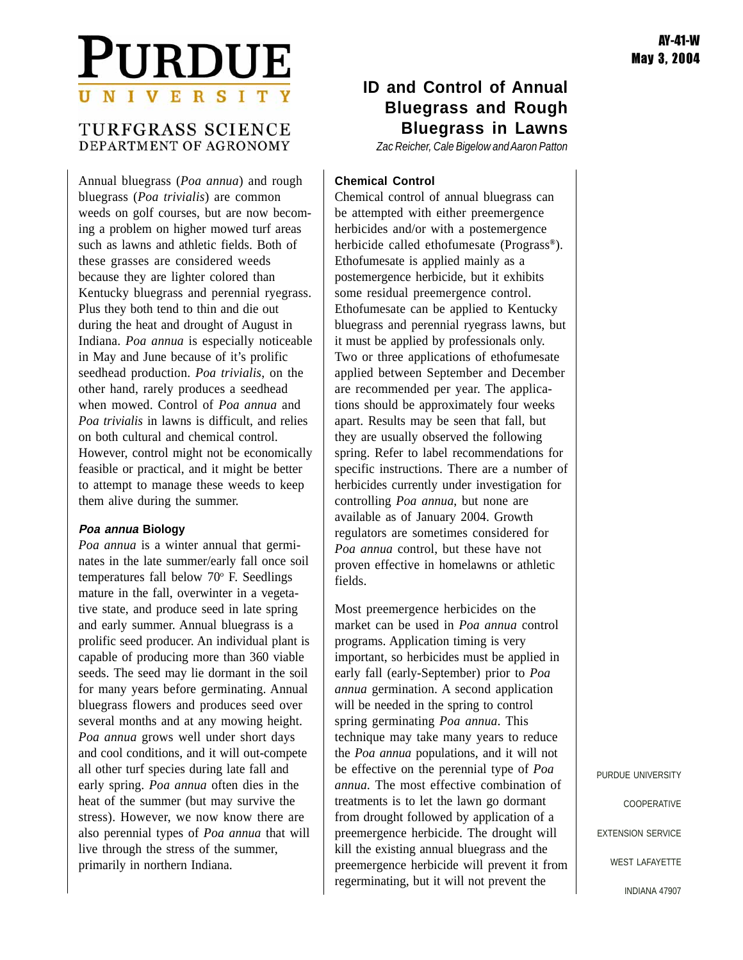# PURDUE UNIVERSITY

# TURFGRASS SCIENCE DEPARTMENT OF AGRONOMY

Annual bluegrass (*Poa annua*) and rough bluegrass (*Poa trivialis*) are common weeds on golf courses, but are now becoming a problem on higher mowed turf areas such as lawns and athletic fields. Both of these grasses are considered weeds because they are lighter colored than Kentucky bluegrass and perennial ryegrass. Plus they both tend to thin and die out during the heat and drought of August in Indiana. *Poa annua* is especially noticeable in May and June because of it's prolific seedhead production. *Poa trivialis*, on the other hand, rarely produces a seedhead when mowed. Control of *Poa annua* and *Poa trivialis* in lawns is difficult, and relies on both cultural and chemical control. However, control might not be economically feasible or practical, and it might be better to attempt to manage these weeds to keep them alive during the summer.

### **Poa annua Biology**

*Poa annua* is a winter annual that germinates in the late summer/early fall once soil temperatures fall below 70° F. Seedlings mature in the fall, overwinter in a vegetative state, and produce seed in late spring and early summer. Annual bluegrass is a prolific seed producer. An individual plant is capable of producing more than 360 viable seeds. The seed may lie dormant in the soil for many years before germinating. Annual bluegrass flowers and produces seed over several months and at any mowing height. *Poa annua* grows well under short days and cool conditions, and it will out-compete all other turf species during late fall and early spring. *Poa annua* often dies in the heat of the summer (but may survive the stress). However, we now know there are also perennial types of *Poa annua* that will live through the stress of the summer, primarily in northern Indiana.

# **ID and Control of Annual Bluegrass and Rough Bluegrass in Lawns**

*Zac Reicher, Cale Bigelow and Aaron Patton*

## **Chemical Control**

Chemical control of annual bluegrass can be attempted with either preemergence herbicides and/or with a postemergence herbicide called ethofumesate (Prograss**®**). Ethofumesate is applied mainly as a postemergence herbicide, but it exhibits some residual preemergence control. Ethofumesate can be applied to Kentucky bluegrass and perennial ryegrass lawns, but it must be applied by professionals only. Two or three applications of ethofumesate applied between September and December are recommended per year. The applications should be approximately four weeks apart. Results may be seen that fall, but they are usually observed the following spring. Refer to label recommendations for specific instructions. There are a number of herbicides currently under investigation for controlling *Poa annua*, but none are available as of January 2004. Growth regulators are sometimes considered for *Poa annua* control, but these have not proven effective in homelawns or athletic fields.

Most preemergence herbicides on the market can be used in *Poa annua* control programs. Application timing is very important, so herbicides must be applied in early fall (early-September) prior to *Poa annua* germination. A second application will be needed in the spring to control spring germinating *Poa annua*. This technique may take many years to reduce the *Poa annua* populations, and it will not be effective on the perennial type of *Poa annua.* The most effective combination of treatments is to let the lawn go dormant from drought followed by application of a preemergence herbicide. The drought will kill the existing annual bluegrass and the preemergence herbicide will prevent it from regerminating, but it will not prevent the

PURDUE UNIVERSITY COOPERATIVE EXTENSION SERVICE WEST LAFAYETTE

INDIANA 47907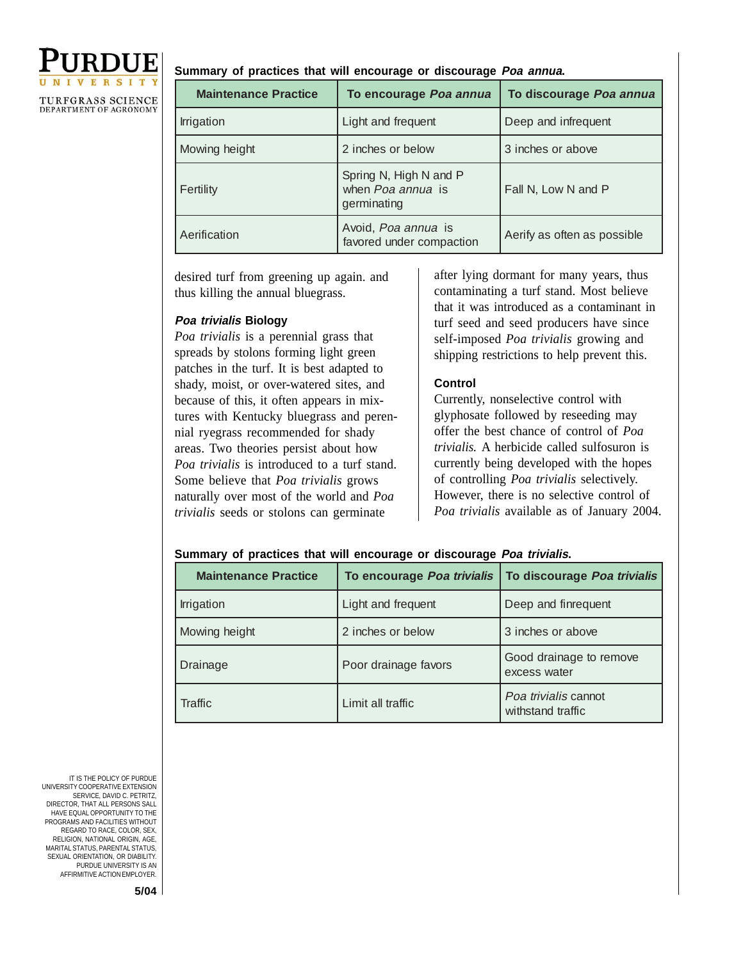

#### **Summary of practices that will encourage or discourage Poa annua.**

| <b>Maintenance Practice</b> | To encourage Poa annua                                     | To discourage Poa annua     |
|-----------------------------|------------------------------------------------------------|-----------------------------|
| Irrigation                  | Light and frequent                                         | Deep and infrequent         |
| Mowing height               | 2 inches or below                                          | 3 inches or above           |
| Fertility                   | Spring N, High N and P<br>when Poa annua is<br>germinating | Fall N, Low N and P         |
| Aerification                | Avoid, Poa annua is<br>favored under compaction            | Aerify as often as possible |

desired turf from greening up again. and thus killing the annual bluegrass.

#### **Poa trivialis Biology**

*Poa trivialis* is a perennial grass that spreads by stolons forming light green patches in the turf. It is best adapted to shady, moist, or over-watered sites, and because of this, it often appears in mixtures with Kentucky bluegrass and perennial ryegrass recommended for shady areas. Two theories persist about how *Poa trivialis* is introduced to a turf stand. Some believe that *Poa trivialis* grows naturally over most of the world and *Poa trivialis* seeds or stolons can germinate

after lying dormant for many years, thus contaminating a turf stand. Most believe that it was introduced as a contaminant in turf seed and seed producers have since self-imposed *Poa trivialis* growing and shipping restrictions to help prevent this.

### **Control**

Currently, nonselective control with glyphosate followed by reseeding may offer the best chance of control of *Poa trivialis.* A herbicide called sulfosuron is currently being developed with the hopes of controlling *Poa trivialis* selectively. However, there is no selective control of *Poa trivialis* available as of January 2004.

#### **Summary of practices that will encourage or discourage Poa trivialis.**

| <b>Maintenance Practice</b> | To encourage Poa trivialis | To discourage Poa trivialis               |
|-----------------------------|----------------------------|-------------------------------------------|
| Irrigation                  | Light and frequent         | Deep and finrequent                       |
| Mowing height               | 2 inches or below          | 3 inches or above                         |
| Drainage                    | Poor drainage favors       | Good drainage to remove<br>excess water   |
| Traffic                     | Limit all traffic          | Poa trivialis cannot<br>withstand traffic |

IT IS THE POLICY OF PURDUE UNIVERSITY COOPERATIVE EXTENSION SERVICE, DAVID C. PETRITZ DIRECTOR, THAT ALL PERSONS SALL HAVE EQUAL OPPORTUNITY TO THE PROGRAMS AND FACILITIES WITHOUT REGARD TO RACE, COLOR, SEX, RELIGION, NATIONAL ORIGIN, AGE, MARITAL STATUS, PARENTAL STATUS, SEXUAL ORIENTATION, OR DIABILITY. PURDUE UNIVERSITY IS AN AFFIRMITIVE ACTION EMPLOYER.